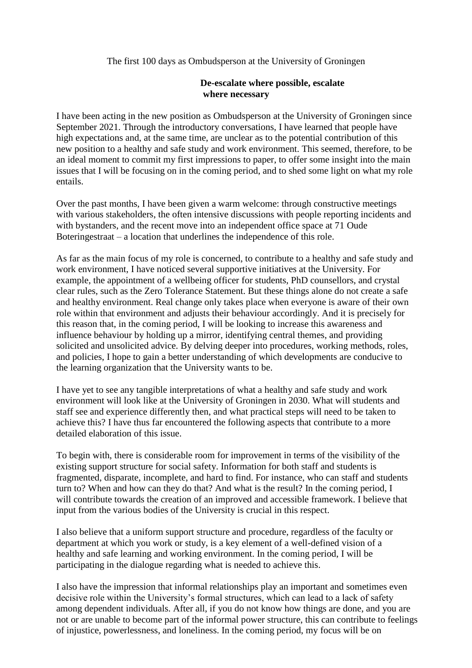The first 100 days as Ombudsperson at the University of Groningen

## **De-escalate where possible, escalate where necessary**

I have been acting in the new position as Ombudsperson at the University of Groningen since September 2021. Through the introductory conversations, I have learned that people have high expectations and, at the same time, are unclear as to the potential contribution of this new position to a healthy and safe study and work environment. This seemed, therefore, to be an ideal moment to commit my first impressions to paper, to offer some insight into the main issues that I will be focusing on in the coming period, and to shed some light on what my role entails.

Over the past months, I have been given a warm welcome: through constructive meetings with various stakeholders, the often intensive discussions with people reporting incidents and with bystanders, and the recent move into an independent office space at 71 Oude Boteringestraat – a location that underlines the independence of this role.

As far as the main focus of my role is concerned, to contribute to a healthy and safe study and work environment, I have noticed several supportive initiatives at the University. For example, the appointment of a wellbeing officer for students, PhD counsellors, and crystal clear rules, such as the Zero Tolerance Statement. But these things alone do not create a safe and healthy environment. Real change only takes place when everyone is aware of their own role within that environment and adjusts their behaviour accordingly. And it is precisely for this reason that, in the coming period, I will be looking to increase this awareness and influence behaviour by holding up a mirror, identifying central themes, and providing solicited and unsolicited advice. By delving deeper into procedures, working methods, roles, and policies, I hope to gain a better understanding of which developments are conducive to the learning organization that the University wants to be.

I have yet to see any tangible interpretations of what a healthy and safe study and work environment will look like at the University of Groningen in 2030. What will students and staff see and experience differently then, and what practical steps will need to be taken to achieve this? I have thus far encountered the following aspects that contribute to a more detailed elaboration of this issue.

To begin with, there is considerable room for improvement in terms of the visibility of the existing support structure for social safety. Information for both staff and students is fragmented, disparate, incomplete, and hard to find. For instance, who can staff and students turn to? When and how can they do that? And what is the result? In the coming period, I will contribute towards the creation of an improved and accessible framework. I believe that input from the various bodies of the University is crucial in this respect.

I also believe that a uniform support structure and procedure, regardless of the faculty or department at which you work or study, is a key element of a well-defined vision of a healthy and safe learning and working environment. In the coming period, I will be participating in the dialogue regarding what is needed to achieve this.

I also have the impression that informal relationships play an important and sometimes even decisive role within the University's formal structures, which can lead to a lack of safety among dependent individuals. After all, if you do not know how things are done, and you are not or are unable to become part of the informal power structure, this can contribute to feelings of injustice, powerlessness, and loneliness. In the coming period, my focus will be on